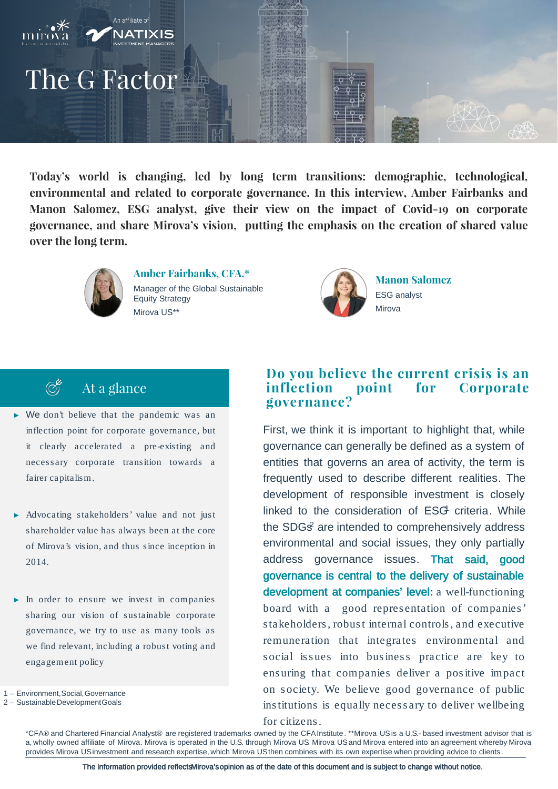

**Today's world is changing, led by long term transitions: demographic, technological, environmental and related to corporate governance. In this interview, Amber Fairbanks and Manon Salomez, ESG analyst, give their view on the impact of Covid-19 on corporate governance, and share Mirova's vision, putting the emphasis on the creation of shared value over the long term.**



**Amber Fairbanks, CFA.\*** Manager of the Global Sustainable Equity Strategy Mirova US\*\*



**Manon Salomez** ESG analyst Mirova

# At a glance

 $\bigodot^{\&}$ 

- ► We don't believe that the pandemic was an inflection point for corporate governance, but it clearly accelerated a pre-existing and necessary corporate transition towards a fairer capitalism.
- ► Advocating stakeholders' value and not just shareholder value has always been at the core of Mirova's vision, and thus since inception in 2014.
- ► In order to ensure we invest in companies sharing our vision of sustainable corporate governance, we try to use as many tools as we find relevant, including a robust voting and engagement policy

1 – Environment, Social, Governance

2 – Sustainable Development Goals

### **Do you believe the current crisis is an inflection point for Corporate governance?**

First, we think it is important to highlight that, while governance can generally be defined as a system of entities that governs an area of activity, the term is frequently used to describe different realities. The development of responsible investment is closely linked to the consideration of ESG criteria. While the SDGs<sup>2</sup> are intended to comprehensively address environmental and social issues, they only partially address governance issues. That said, good governance is central to the delivery of sustainable development at companies' level: a well-functioning board with a good repres entation of companies ' s takeholders , robust internal controls , and executive remuneration that integrates environmental and social issues into business practice are key to ens uring that companies deliver a pos itive impact on s ociety. We believe good governance of public ins titutions is equally necessary to deliver wellbeing

for citizens.

\*CFA® and Chartered Financial Analyst® are registered trademarks owned by the CFAInstitute. \*\*Mirova USis a U.S.- based investment advisor that is a, wholly owned affiliate of Mirova. Mirova is operated in the U.S. through Mirova US. Mirova USand Mirova entered into an agreement whereby Mirova provides Mirova USinvestment and research expertise, which Mirova USthen combines with its own expertise when providing advice to clients.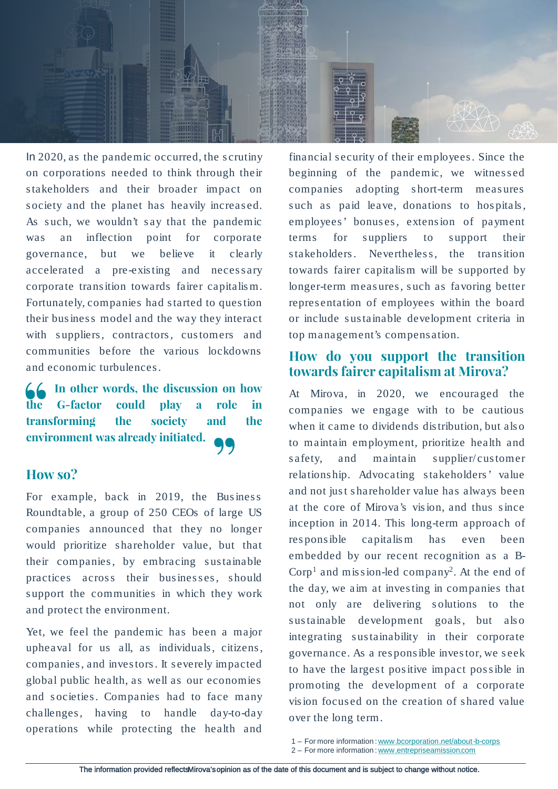

In 2020, as the pandemic occurred, the s crutiny on corporations needed to think through their s takeholders and their broader impact on s ociety and the planet has heavily increas ed. As such, we wouldn't say that the pandemic was an inflection point for corporate governance, but we believe it clearly accelerated a pre-exis ting and necessary corporate trans ition towards fairer capitalis m. Fortunately, companies had started to ques tion their bus ines s model and the way they interact with suppliers, contractors, customers and communities before the various lockdowns and economic turbulences.

**In other words, the discussion on how the G-factor could play a role in transforming the society and the environment was already initiated.**

### **How so?**

For example, back in 2019, the Business Roundtable, a group of 250 CEOs of large US companies announced that they no longer would prioritize shareholder value, but that their companies, by embracing sustainable practices across their businesses, should support the communities in which they work and protect the environment.

Yet, we feel the pandemic has been a major upheaval for us all, as individuals, citizens, companies , and inves tors. It s everely impacted global public health, as well as our economies and s ocieties. Companies had to face many challenges, having to handle day-to-day operations while protecting the health and

financial s ecurity of their employees. Since the beginning of the pandemic, we witnes sed companies adopting short-term measures such as paid leave, donations to hospitals, employees' bonuses, extension of payment terms for suppliers to support their stakeholders. Nevertheless, the transition towards fairer capitalis m will be supported by longer-term measures, such as favoring better repres entation of employees within the board or include s us tainable development criteria in top management's compens ation.

## **How do you support the transition towards fairer capitalism at Mirova?**

At Mirova, in 2020, we encouraged the companies we engage with to be cautious when it came to dividends distribution, but also to maintain employment, prioritize health and safety, and maintain supplier/customer relations hip. Advocating s takeholders ' value and not just shareholder value has always been at the core of Mirova's vis ion, and thus s ince inception in 2014. This long-term approach of res ponsible capitalism has even been embedded by our recent recognition as a B- $Corp<sup>1</sup>$  and mission-led company<sup>2</sup>. At the end of the day, we aim at inves ting in companies that not only are delivering solutions to the sustainable development goals, but also integrating sustainability in their corporate governance. As a res pons ible inves tor, we seek to have the largest positive impact possible in promoting the development of a corporate vis ion focused on the creation of shared value over the long term.

<sup>1</sup> – For more information : [www.bcorporation.net/about-b-corps](http://www.bcorporation.net/about-b-corps)

<sup>2</sup> – For more information : [www.entrepriseamission.com](http://www.entrepriseamission.com/)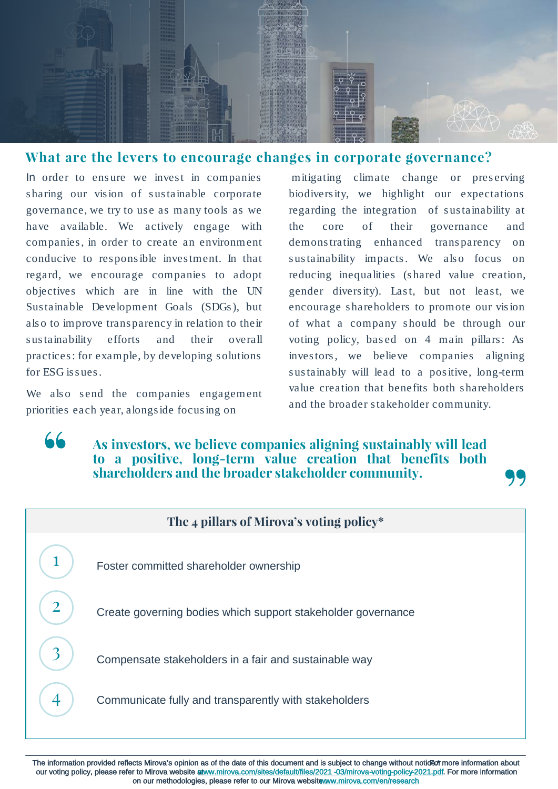

## **What are the levers to encourage changes in corporate governance?**

In order to ensure we invest in companies sharing our vision of sustainable corporate governance, we try to use as many tools as we have available. We actively engage with companies , in order to create an environment conducive to res pons ible inves tment. In that regard, we encourage companies to adopt objectives which are in line with the UN Sus tainable Development Goals (SDGs ), but als o to improve transparency in relation to their s us tainability efforts and their overall practices: for example, by developing s olutions for ESG is sues.

We also send the companies engagement priorities each year, alongs ide focus ing on

 $66$ 

mitigating climate change or preserving biodivers ity, we highlight our expectations regarding the integration of sustainability at the core of their governance and demons trating enhanced transparency on sustainability impacts. We also focus on reducing inequalities (shared value creation, gender diversity). Last, but not least, we encourage s hareholders to promote our vis ion of what a company s hould be through our voting policy, based on 4 main pillars: As inves tors , we believe companies aligning sustainably will lead to a positive, long-term value creation that benefits both shareholders and the broader s takeholder community.

## **As investors, we believe companies aligning sustainably will lead to a positive, long-term value creation that benefits both shareholders and the broader stakeholder community.**

| The 4 pillars of Mirova's voting policy* |                                                              |
|------------------------------------------|--------------------------------------------------------------|
|                                          | Foster committed shareholder ownership                       |
|                                          | Create governing bodies which support stakeholder governance |
|                                          | Compensate stakeholders in a fair and sustainable way        |
|                                          | Communicate fully and transparently with stakeholders        |

The information provided reflects Mirova's opinion as of the date of this document and is subject to change without notideot more information about our voting policy, please refer to Mirova website at ww.mirova.com/sites/default/files/2021 -03/mirova-voting-policy-2021.pdf. For more information on our methodologies, please refer to our Mirova website www.mirova.com/en/research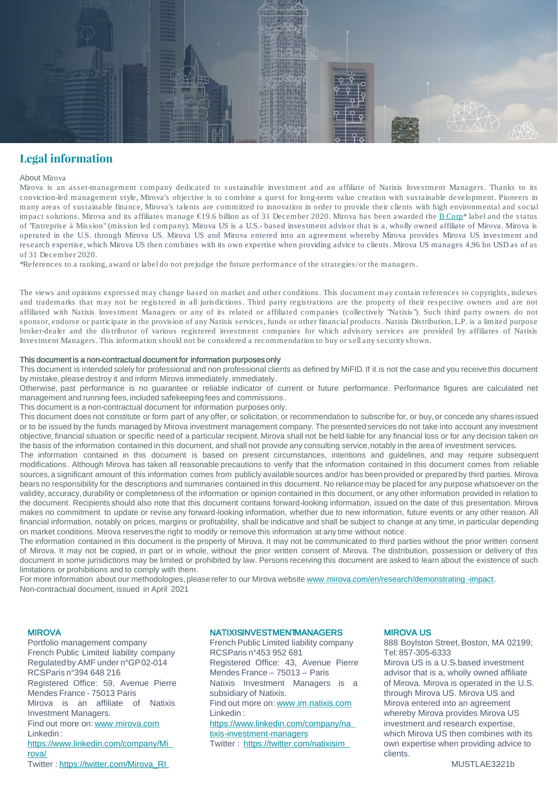

### **Legal information**

#### About Mirova

Mirova is an asset-management company dedicated to sustainable investment and an affiliate of Natixis Investment Managers. Thanks to its conviction-led management style, Mirova's objective is to combine a quest for long-term value creation with sustainable development. Pioneers in many areas of sustainable finance, Mirova's talents are committed to innovation in order to provide their clients with high environmental and social impact solutions. Mirova and its affiliates manage €19.6 billion as of 31 December 2020. Mirova has been awarded the B Corp\* label and the status of "Entreprise à Mission" (mission led company). Mirova US is a U.S.- based investment advisor that is a, wholly owned affiliate of Mirova. Mirova is operated in the U.S. through Mirova US. Mirova US and Mirova entered into an agreement whereby Mirova provides Mirova US investment and research expertise, which Mirova US then combines with its own expertise when providing advice to clients. Mirova US manages 4,96 bn USD as of as of 31 December 2020.

\*References to a ranking, award or label do not prejudge the future performance of the strategies/or the managers.

The views and opinions expressed may change based on market and other conditions. This document may contain references to copyrights, indexes and trademarks that may not be registered in all jurisdictions. Third party registrations are the property of their respective owners and are not affiliated with Natixis Investment Managers or any of its related or affiliated companies (collectively "Natixis"). Such third party owners do not sponsor, endorse or participate in the provision of any Natixis services, funds or other financial products. Natixis Distribution, L.P. is a limited purpose broker-dealer and the distributor of various registered investment companies for which advisory services are provided by affiliates of Natixis Investment Managers. This information should not be considered a recommendation to buy or sell any security shown.

#### This document is a non-contractual document for information purposesonly

This document is intended solely for professional and non professional clients as defined by MiFID. If it is not the case and you receivethis document by mistake, pleasedestroy it and inform Mirova immediately. immediately.

Otherwise, past performance is no guarantee or reliable indicator of current or future performance. Performance figures are calculated net management and running fees,included safekeepingfees and commissions .

This document is a non-contractual document for information purposes only.

This document does not constitute or form part of any offer, or solicitation, or recommendation to subscribe for, or buy,or concede any shares issued or to be issued by the funds managed by Mirova investment management company. The presented services do not take into account any investment objective, financial situation or specific need of a particular recipient. Mirova shall not be held liable for any financial loss or for any decision taken on the basis of the information contained in this document, and shall not provide any consulting service,notably in the area of investment services.

The information contained in this document is based on present circumstances, intentions and guidelines, and may require subsequent modifications . Although Mirova has taken all reasonable precautions to verify that the information contained in this document comes from reliable sources,a significant amount of this information comes from publicly availablesources and/or has been provided or prepared by third parties. Mirova bears no responsibility for the descriptions and summaries contained in this document. No reliancemay be placed for any purpose whatsoever on the validity, accuracy,durability or completeness of the information or opinion contained in this document, or any other information provided in relation to the document. Recipients should also note that this document contains forward-looking information, issued on the date of this presentation. Mirova makes no commitment to update or revise any forward-looking information, whether due to new information, future events or any other reason. All financial information, notably on prices, margins or profitability, shall be indicative and shall be subject to change at any time, in particular depending on market conditions. Mirova reservesthe right to modify or remove this information at any time without notice.

The information contained in this document is the property of Mirova. It may not be communicated to third parties without the prior written consent of Mirova. It may not be copied, in part or in whole, without the prior written consent of Mirova. The distribution, possession or delivery of this document in some jurisdictions may be limited or prohibited by law. Persons receiving this document are asked to learn about the existence of such limitations or prohibitions and to comply with them.

For more information about our methodologies, please refer to our Mirova website [www.mirova.com/en/research/demonstrating](http://www.mirova.com/en/research/demonstrating-impact) -impact. Non-contractual document, issued in April 2021

#### MIROVA

Portfolio management company French Public Limited liability company Regulatedby AMF under n°GP02-014 RCSParis n°394 648 216 Registered Office: 59, Avenue Pierre Mendes France - 75013 Paris Mirova is an affiliate of Natixis Investment Managers. Find out more on: [www.mirova.com](http://www.mirova.com/) Linkedin : [https://www.linkedin.com/company/Mi](https://www.linkedin.com/company/Mirova/) rova/ Twitter : [https://twitter.com/Mirova\\_RI](https://twitter.com/Mirova_RI)

#### **NATIXISINVESTMENTMANAGERS**

French Public Limited liability company RCSParis n°453 952 681 Registered Office: 43, Avenue Pierre Mendes France – 75013 – Paris Natixis Investment Managers is a subsidiary of Natixis. Find out more on: [www.im.natixis.com](http://www.im.natixis.com/) Linkedin : [https://www.linkedin.com/company/na](https://www.linkedin.com/company/natixis-investment-managers) tixis-investment-managers Twitter : <https://twitter.com/natixisim>

#### MIROVA US

888 Boylston Street, Boston, MA 02199; Tel: 857-305-6333

Mirova US is a U.S. based investment advisor that is a, wholly owned affiliate of Mirova. Mirova is operated in the U.S. through Mirova US. Mirova US and Mirova entered into an agreement whereby Mirova provides Mirova US investment and research expertise, which Mirova US then combines with its own expertise when providing advice to clients.

MUSTLAE3221b